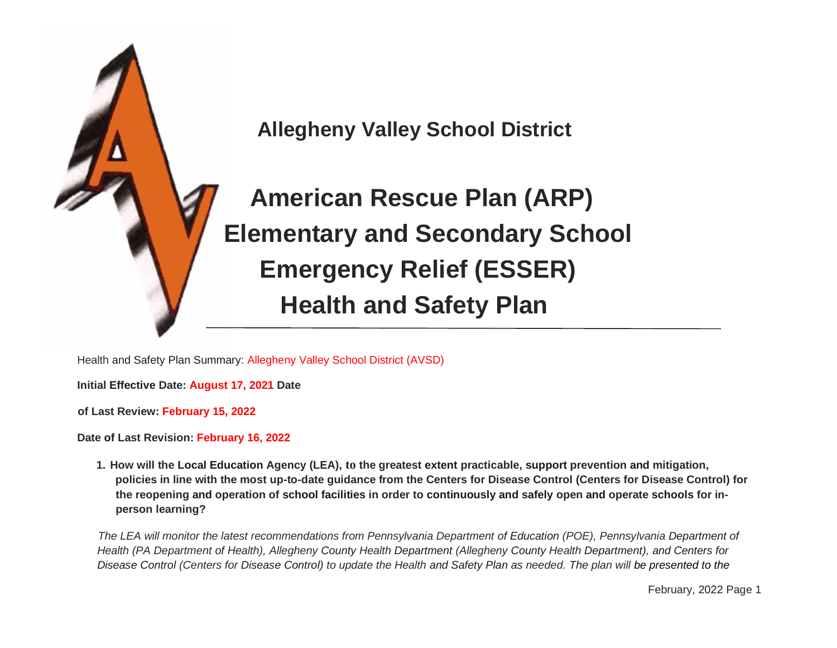

 **American Rescue Plan (ARP) Elementary and Secondary School Emergency Relief (ESSER) Health and Safety Plan**

Health and Safety Plan Summary: Allegheny Valley School District (AVSD)

**Initial Effective Date: August 17, 2021 Date** 

**of Last Review: February 15, 2022** 

**Date of Last Revision: February 16, 2022**

**1. How will the Local Education Agency (LEA), to the greatest extent practicable, support prevention and mitigation, policies in line with the most up-to-date guidance from the Centers for Disease Control (Centers for Disease Control) for the reopening and operation of school facilities in order to continuously and safely open and operate schools for inperson learning?**

The LEA will monitor the latest recommendations from Pennsylvania Department of Education (POE), Pennsylvania Department of *Health (PA Department of Health), Allegheny County Health Department (Allegheny County Health Department), and Centers for Disease Control (Centers for Disease Control) to update the Health and Safety Plan as needed. The plan will be presented to the*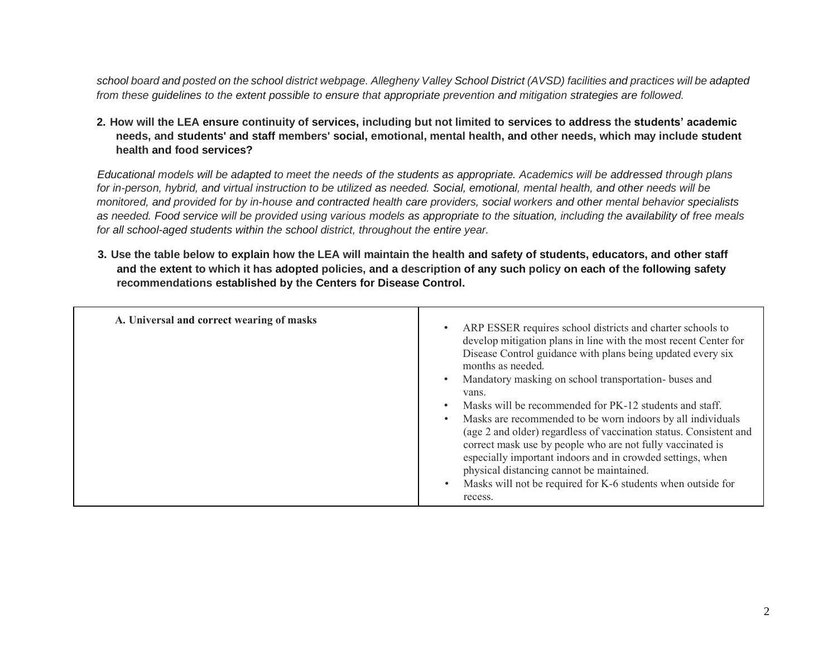*school board and posted on the school district webpage. Allegheny Valley School District (AVSD) facilities and practices will be adapted from these guidelines to the extent possible to ensure that appropriate prevention and mitigation strategies are followed.*

**2. How will the LEA ensure continuity of services, including but not limited to services to address the students' academic needs, and students' and staff members' social, emotional, mental health, and other needs, which may include student health and food services?**

*Educational models will be adapted to meet the needs of the students as appropriate. Academics will be addressed through plans for in-person, hybrid, and virtual instruction to be utilized as needed. Social, emotional, mental health, and other needs will be monitored, and provided for by in-house and contracted health care providers, social workers and other mental behavior specialists as needed. Food service will be provided using various models as appropriate to the situation, including the availability of free meals for all school-aged students within the school district, throughout the entire year.*

**3. Use the table below to explain how the LEA will maintain the health and safety of students, educators, and other staff and the extent to which it has adopted policies, and a description of any such policy on each of the following safety recommendations established by the Centers for Disease Control.**

| A. Universal and correct wearing of masks | ARP ESSER requires school districts and charter schools to<br>develop mitigation plans in line with the most recent Center for<br>Disease Control guidance with plans being updated every six<br>months as needed.<br>Mandatory masking on school transportation-buses and<br>vans.<br>Masks will be recommended for PK-12 students and staff.<br>Masks are recommended to be worn indoors by all individuals<br>(age 2 and older) regardless of vaccination status. Consistent and<br>correct mask use by people who are not fully vaccinated is<br>especially important indoors and in crowded settings, when<br>physical distancing cannot be maintained.<br>Masks will not be required for K-6 students when outside for<br>recess. |
|-------------------------------------------|-----------------------------------------------------------------------------------------------------------------------------------------------------------------------------------------------------------------------------------------------------------------------------------------------------------------------------------------------------------------------------------------------------------------------------------------------------------------------------------------------------------------------------------------------------------------------------------------------------------------------------------------------------------------------------------------------------------------------------------------|
|-------------------------------------------|-----------------------------------------------------------------------------------------------------------------------------------------------------------------------------------------------------------------------------------------------------------------------------------------------------------------------------------------------------------------------------------------------------------------------------------------------------------------------------------------------------------------------------------------------------------------------------------------------------------------------------------------------------------------------------------------------------------------------------------------|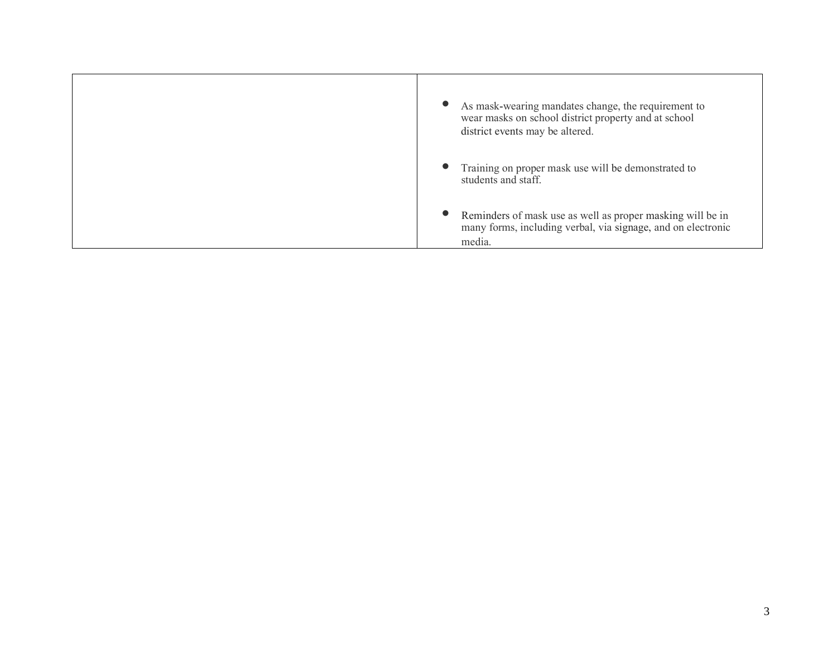| As mask-wearing mandates change, the requirement to<br>wear masks on school district property and at school<br>district events may be altered. |
|------------------------------------------------------------------------------------------------------------------------------------------------|
| Training on proper mask use will be demonstrated to<br>students and staff.                                                                     |
| Reminders of mask use as well as proper masking will be in<br>many forms, including verbal, via signage, and on electronic<br>media.           |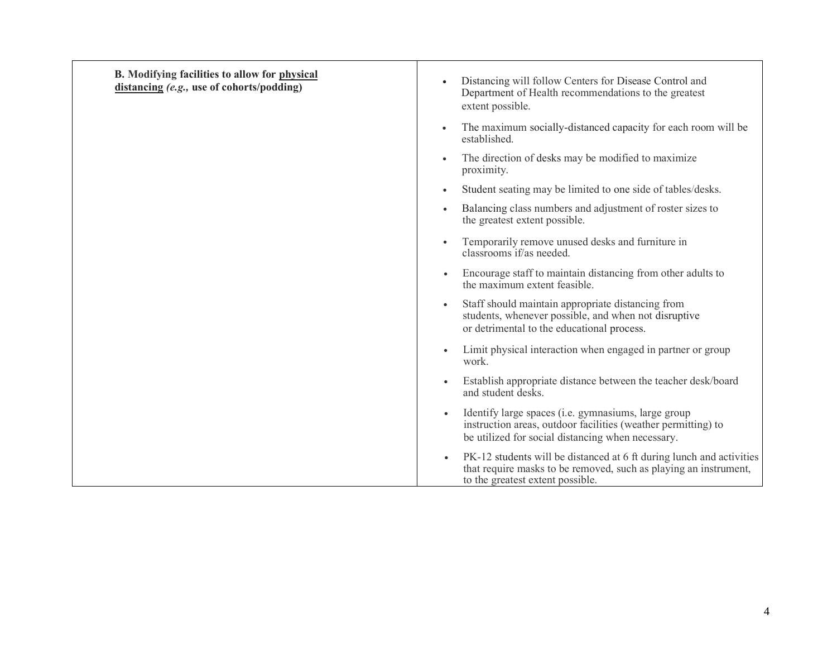| B. Modifying facilities to allow for physical<br>distancing (e.g., use of cohorts/podding) | Distancing will follow Centers for Disease Control and<br>Department of Health recommendations to the greatest<br>extent possible.                                                        |
|--------------------------------------------------------------------------------------------|-------------------------------------------------------------------------------------------------------------------------------------------------------------------------------------------|
|                                                                                            | The maximum socially-distanced capacity for each room will be<br>established.                                                                                                             |
|                                                                                            | The direction of desks may be modified to maximize<br>proximity.                                                                                                                          |
|                                                                                            | Student seating may be limited to one side of tables/desks.                                                                                                                               |
|                                                                                            | Balancing class numbers and adjustment of roster sizes to<br>the greatest extent possible.                                                                                                |
|                                                                                            | Temporarily remove unused desks and furniture in<br>classrooms if/as needed.                                                                                                              |
|                                                                                            | Encourage staff to maintain distancing from other adults to<br>$\bullet$<br>the maximum extent feasible.                                                                                  |
|                                                                                            | Staff should maintain appropriate distancing from<br>$\bullet$<br>students, whenever possible, and when not disruptive<br>or detrimental to the educational process.                      |
|                                                                                            | Limit physical interaction when engaged in partner or group<br>$\bullet$<br>work.                                                                                                         |
|                                                                                            | Establish appropriate distance between the teacher desk/board<br>$\bullet$<br>and student desks.                                                                                          |
|                                                                                            | Identify large spaces (i.e. gymnasiums, large group<br>instruction areas, outdoor facilities (weather permitting) to<br>be utilized for social distancing when necessary.                 |
|                                                                                            | PK-12 students will be distanced at 6 ft during lunch and activities<br>$\bullet$<br>that require masks to be removed, such as playing an instrument,<br>to the greatest extent possible. |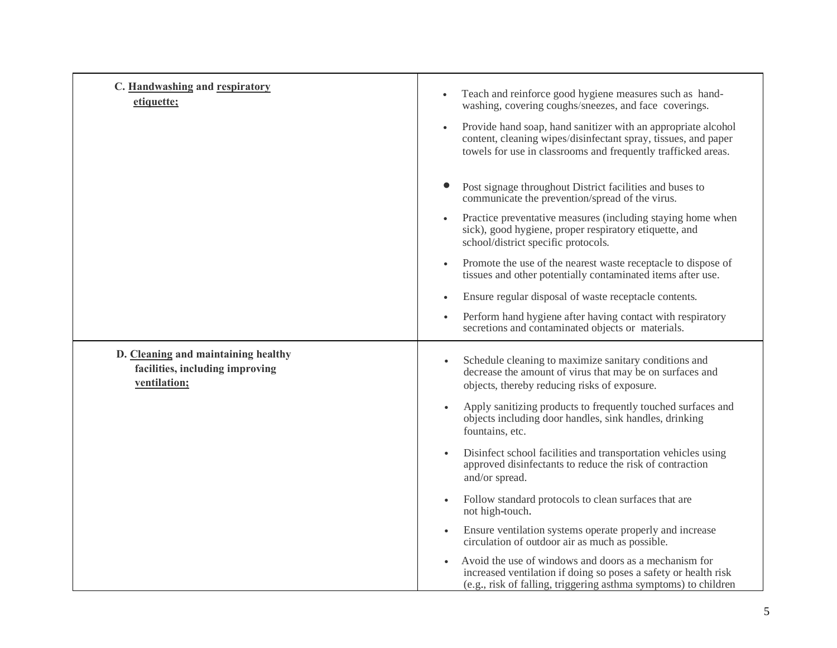| C. Handwashing and respiratory<br>etiquette;                                           | Teach and reinforce good hygiene measures such as hand-<br>washing, covering coughs/sneezes, and face coverings.<br>Provide hand soap, hand sanitizer with an appropriate alcohol<br>content, cleaning wipes/disinfectant spray, tissues, and paper<br>towels for use in classrooms and frequently trafficked areas. |
|----------------------------------------------------------------------------------------|----------------------------------------------------------------------------------------------------------------------------------------------------------------------------------------------------------------------------------------------------------------------------------------------------------------------|
|                                                                                        | Post signage throughout District facilities and buses to<br>communicate the prevention/spread of the virus.                                                                                                                                                                                                          |
|                                                                                        | Practice preventative measures (including staying home when<br>sick), good hygiene, proper respiratory etiquette, and<br>school/district specific protocols.                                                                                                                                                         |
|                                                                                        | Promote the use of the nearest waste receptacle to dispose of<br>tissues and other potentially contaminated items after use.                                                                                                                                                                                         |
|                                                                                        | Ensure regular disposal of waste receptacle contents.                                                                                                                                                                                                                                                                |
|                                                                                        | Perform hand hygiene after having contact with respiratory<br>secretions and contaminated objects or materials.                                                                                                                                                                                                      |
| D. Cleaning and maintaining healthy<br>facilities, including improving<br>ventilation; | Schedule cleaning to maximize sanitary conditions and<br>decrease the amount of virus that may be on surfaces and<br>objects, thereby reducing risks of exposure.                                                                                                                                                    |
|                                                                                        | Apply sanitizing products to frequently touched surfaces and<br>objects including door handles, sink handles, drinking<br>fountains, etc.                                                                                                                                                                            |
|                                                                                        | Disinfect school facilities and transportation vehicles using<br>approved disinfectants to reduce the risk of contraction<br>and/or spread.                                                                                                                                                                          |
|                                                                                        | Follow standard protocols to clean surfaces that are<br>$\bullet$<br>not high-touch.                                                                                                                                                                                                                                 |
|                                                                                        | Ensure ventilation systems operate properly and increase<br>$\bullet$<br>circulation of outdoor air as much as possible.                                                                                                                                                                                             |
|                                                                                        | Avoid the use of windows and doors as a mechanism for<br>increased ventilation if doing so poses a safety or health risk<br>(e.g., risk of falling, triggering asthma symptoms) to children                                                                                                                          |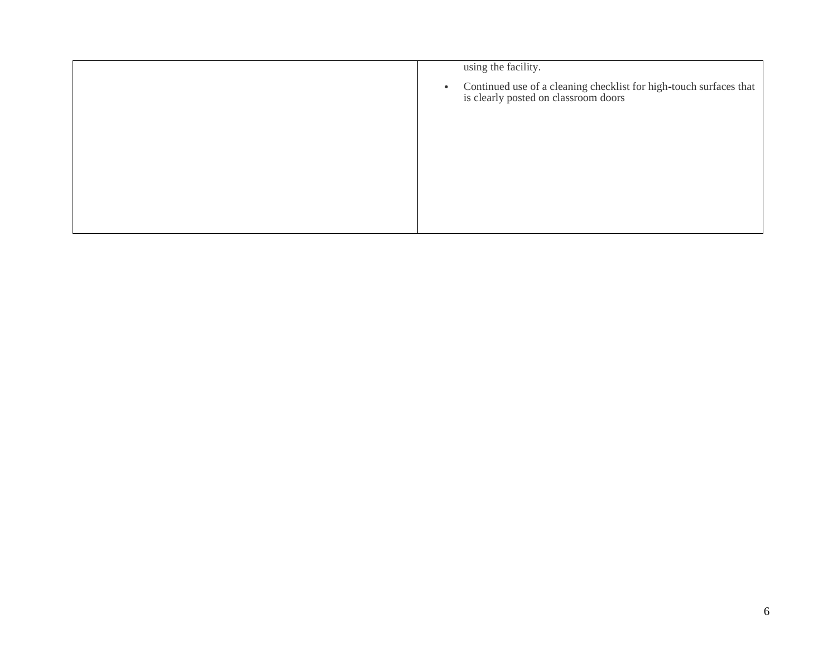| using the facility.                                                                                                     |
|-------------------------------------------------------------------------------------------------------------------------|
| Continued use of a cleaning checklist for high-touch surfaces that<br>is clearly posted on classroom doors<br>$\bullet$ |
|                                                                                                                         |
|                                                                                                                         |
|                                                                                                                         |
|                                                                                                                         |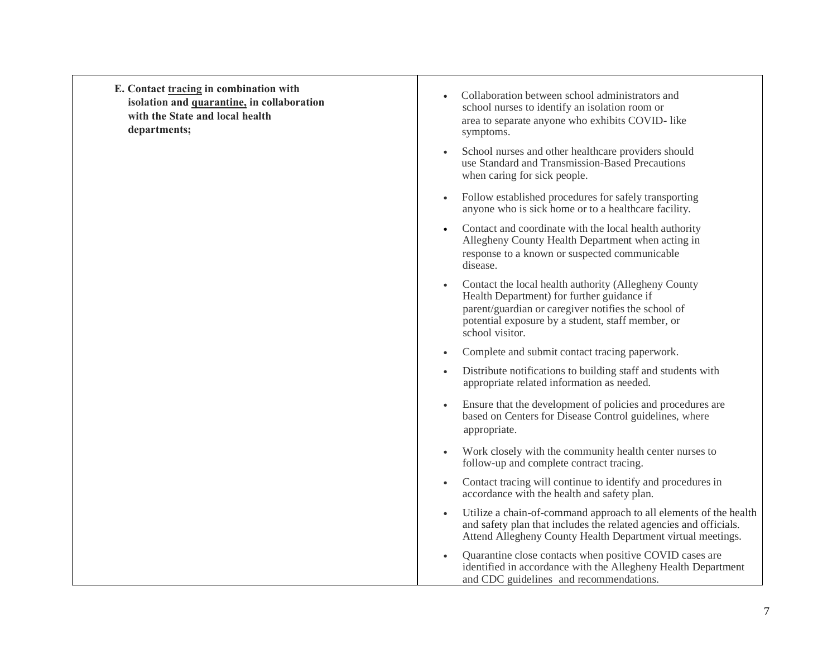| E. Contact tracing in combination with<br>isolation and quarantine, in collaboration<br>with the State and local health<br>departments; | Collaboration between school administrators and<br>school nurses to identify an isolation room or<br>area to separate anyone who exhibits COVID- like<br>symptoms.                                                                             |
|-----------------------------------------------------------------------------------------------------------------------------------------|------------------------------------------------------------------------------------------------------------------------------------------------------------------------------------------------------------------------------------------------|
|                                                                                                                                         | School nurses and other healthcare providers should<br>$\bullet$<br>use Standard and Transmission-Based Precautions<br>when caring for sick people.                                                                                            |
|                                                                                                                                         | Follow established procedures for safely transporting<br>$\bullet$<br>anyone who is sick home or to a healthcare facility.                                                                                                                     |
|                                                                                                                                         | Contact and coordinate with the local health authority<br>$\bullet$<br>Allegheny County Health Department when acting in<br>response to a known or suspected communicable<br>disease.                                                          |
|                                                                                                                                         | Contact the local health authority (Allegheny County<br>$\bullet$<br>Health Department) for further guidance if<br>parent/guardian or caregiver notifies the school of<br>potential exposure by a student, staff member, or<br>school visitor. |
|                                                                                                                                         | Complete and submit contact tracing paperwork.<br>$\bullet$                                                                                                                                                                                    |
|                                                                                                                                         | Distribute notifications to building staff and students with<br>$\bullet$<br>appropriate related information as needed.                                                                                                                        |
|                                                                                                                                         | Ensure that the development of policies and procedures are<br>$\bullet$<br>based on Centers for Disease Control guidelines, where<br>appropriate.                                                                                              |
|                                                                                                                                         | Work closely with the community health center nurses to<br>$\bullet$<br>follow-up and complete contract tracing.                                                                                                                               |
|                                                                                                                                         | Contact tracing will continue to identify and procedures in<br>$\bullet$<br>accordance with the health and safety plan.                                                                                                                        |
|                                                                                                                                         | Utilize a chain-of-command approach to all elements of the health<br>$\bullet$<br>and safety plan that includes the related agencies and officials.<br>Attend Allegheny County Health Department virtual meetings.                             |
|                                                                                                                                         | Quarantine close contacts when positive COVID cases are<br>$\bullet$<br>identified in accordance with the Allegheny Health Department<br>and CDC guidelines and recommendations.                                                               |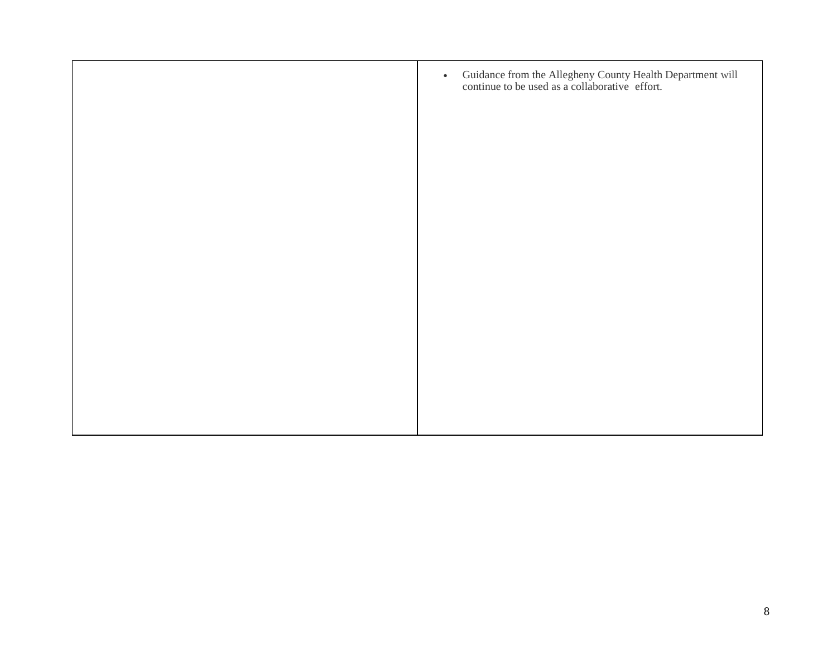| Guidance from the Allegheny County Health Department will<br>continue to be used as a collaborative effort.<br>$\bullet$ |
|--------------------------------------------------------------------------------------------------------------------------|
|                                                                                                                          |
|                                                                                                                          |
|                                                                                                                          |
|                                                                                                                          |
|                                                                                                                          |
|                                                                                                                          |
|                                                                                                                          |
|                                                                                                                          |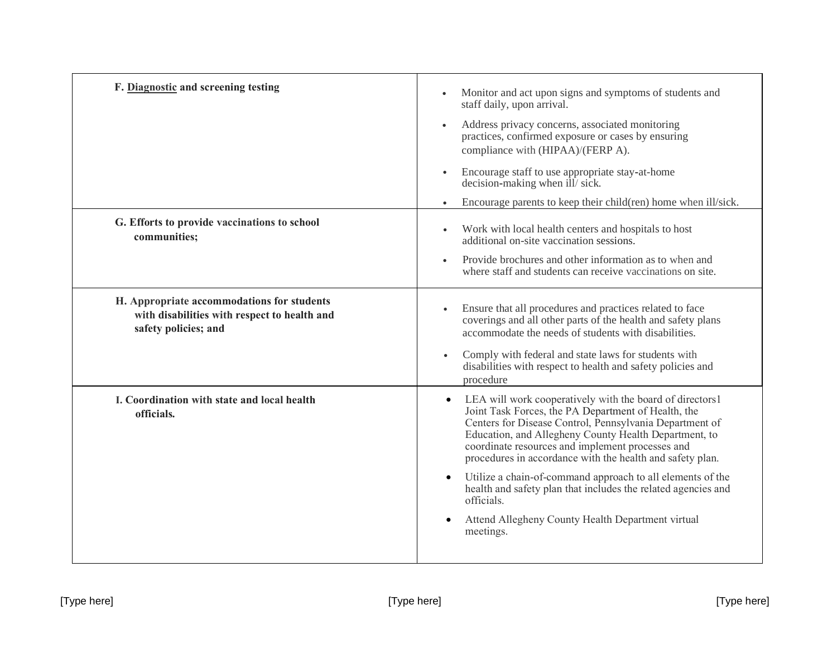| F. Diagnostic and screening testing                                                                                | Monitor and act upon signs and symptoms of students and<br>staff daily, upon arrival.                                                                                                                                                                                                                                                                             |
|--------------------------------------------------------------------------------------------------------------------|-------------------------------------------------------------------------------------------------------------------------------------------------------------------------------------------------------------------------------------------------------------------------------------------------------------------------------------------------------------------|
|                                                                                                                    | Address privacy concerns, associated monitoring<br>practices, confirmed exposure or cases by ensuring<br>compliance with (HIPAA)/(FERP A).                                                                                                                                                                                                                        |
|                                                                                                                    | Encourage staff to use appropriate stay-at-home<br>decision-making when ill/ sick.                                                                                                                                                                                                                                                                                |
|                                                                                                                    | Encourage parents to keep their child(ren) home when ill/sick.                                                                                                                                                                                                                                                                                                    |
| G. Efforts to provide vaccinations to school<br>communities;                                                       | Work with local health centers and hospitals to host<br>additional on-site vaccination sessions.                                                                                                                                                                                                                                                                  |
|                                                                                                                    | Provide brochures and other information as to when and<br>where staff and students can receive vaccinations on site.                                                                                                                                                                                                                                              |
| H. Appropriate accommodations for students<br>with disabilities with respect to health and<br>safety policies; and | Ensure that all procedures and practices related to face<br>coverings and all other parts of the health and safety plans<br>accommodate the needs of students with disabilities.                                                                                                                                                                                  |
|                                                                                                                    | Comply with federal and state laws for students with<br>$\bullet$<br>disabilities with respect to health and safety policies and<br>procedure                                                                                                                                                                                                                     |
| I. Coordination with state and local health<br>officials.                                                          | LEA will work cooperatively with the board of directors1<br>$\bullet$<br>Joint Task Forces, the PA Department of Health, the<br>Centers for Disease Control, Pennsylvania Department of<br>Education, and Allegheny County Health Department, to<br>coordinate resources and implement processes and<br>procedures in accordance with the health and safety plan. |
|                                                                                                                    | Utilize a chain-of-command approach to all elements of the<br>$\bullet$<br>health and safety plan that includes the related agencies and<br>officials.                                                                                                                                                                                                            |
|                                                                                                                    | Attend Allegheny County Health Department virtual<br>$\bullet$<br>meetings.                                                                                                                                                                                                                                                                                       |